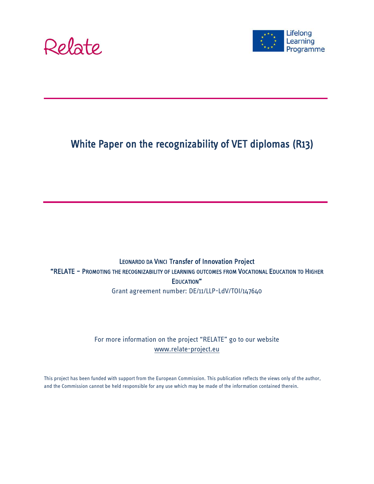



# White Paper on the recognizability of VET diplomas (R13)

### LEONARDO DA VINCI Transfer of Innovation Project "RELATE – PROMOTING THE RECOGNIZABILITY OF LEARNING OUTCOMES FROM VOCATIONAL EDUCATION TO HIGHER EDUCATION" Grant agreement number: DE/11/LLP-LdV/TOI/147640

### For more information on the project "RELATE" go to our website [www.relate-project.eu](http://www.relate-project.eu/)

This project has been funded with support from the European Commission. This publication reflects the views only of the author, and the Commission cannot be held responsible for any use which may be made of the information contained therein.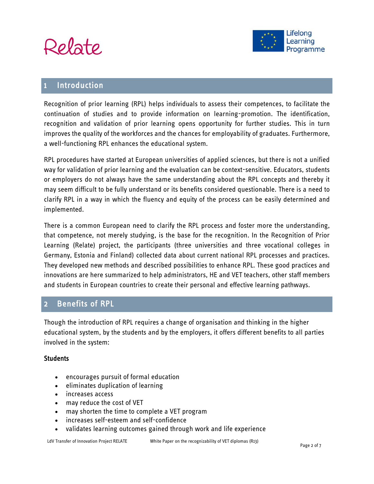



## **Introduction**

Recognition of prior learning (RPL) helps individuals to assess their competences, to facilitate the continuation of studies and to provide information on learning-promotion. The identification, recognition and validation of prior learning opens opportunity for further studies. This in turn improves the quality of the workforces and the chances for employability of graduates. Furthermore, a well-functioning RPL enhances the educational system.

RPL procedures have started at European universities of applied sciences, but there is not a unified way for validation of prior learning and the evaluation can be context-sensitive. Educators, students or employers do not always have the same understanding about the RPL concepts and thereby it may seem difficult to be fully understand or its benefits considered questionable. There is a need to clarify RPL in a way in which the fluency and equity of the process can be easily determined and implemented.

There is a common European need to clarify the RPL process and foster more the understanding, that competence, not merely studying, is the base for the recognition. In the Recognition of Prior Learning (Relate) project, the participants (three universities and three vocational colleges in Germany, Estonia and Finland) collected data about current national RPL processes and practices. They developed new methods and described possibilities to enhance RPL. These good practices and innovations are here summarized to help administrators, HE and VET teachers, other staff members and students in European countries to create their personal and effective learning pathways.

# 2 Benefits of RPL

Though the introduction of RPL requires a change of organisation and thinking in the higher educational system, by the students and by the employers, it offers different benefits to all parties involved in the system:

### **Students**

- encourages pursuit of formal education
- eliminates duplication of learning
- increases access
- may reduce the cost of VET
- may shorten the time to complete a VET program
- increases self-esteem and self-confidence
- validates learning outcomes gained through work and life experience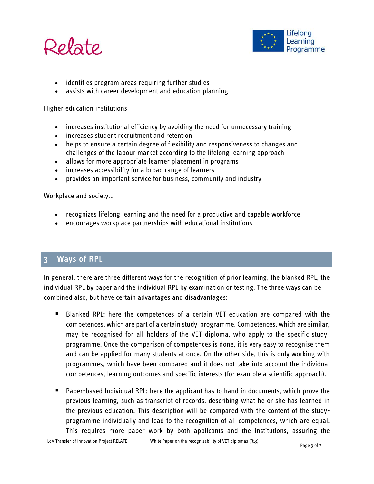



- identifies program areas requiring further studies
- assists with career development and education planning

Higher education institutions

- increases institutional efficiency by avoiding the need for unnecessary training
- increases student recruitment and retention
- helps to ensure a certain degree of flexibility and responsiveness to changes and challenges of the labour market according to the lifelong learning approach
- allows for more appropriate learner placement in programs
- increases accessibility for a broad range of learners
- provides an important service for business, community and industry

Workplace and society...

- recognizes lifelong learning and the need for a productive and capable workforce
- encourages workplace partnerships with educational institutions

# 3 Ways of RPL

In general, there are three different ways for the recognition of prior learning, the blanked RPL, the individual RPL by paper and the individual RPL by examination or testing. The three ways can be combined also, but have certain advantages and disadvantages:

- Blanked RPL: here the competences of a certain VET-education are compared with the competences, which are part of a certain study-programme. Competences, which are similar, may be recognised for all holders of the VET-diploma, who apply to the specific studyprogramme. Once the comparison of competences is done, it is very easy to recognise them and can be applied for many students at once. On the other side, this is only working with programmes, which have been compared and it does not take into account the individual competences, learning outcomes and specific interests (for example a scientific approach).
- Paper-based Individual RPL: here the applicant has to hand in documents, which prove the previous learning, such as transcript of records, describing what he or she has learned in the previous education. This description will be compared with the content of the studyprogramme individually and lead to the recognition of all competences, which are equal. This requires more paper work by both applicants and the institutions, assuring the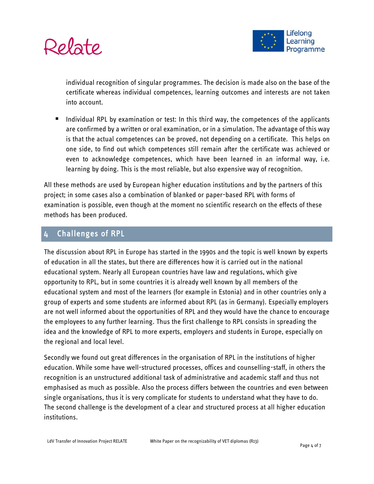

individual recognition of singular programmes. The decision is made also on the base of the certificate whereas individual competences, learning outcomes and interests are not taken into account.

 Individual RPL by examination or test: In this third way, the competences of the applicants are confirmed by a written or oral examination, or in a simulation. The advantage of this way is that the actual competences can be proved, not depending on a certificate. This helps on one side, to find out which competences still remain after the certificate was achieved or even to acknowledge competences, which have been learned in an informal way, i.e. learning by doing. This is the most reliable, but also expensive way of recognition.

All these methods are used by European higher education institutions and by the partners of this project; in some cases also a combination of blanked or paper-based RPL with forms of examination is possible, even though at the moment no scientific research on the effects of these methods has been produced.

# 4 Challenges of RPL

The discussion about RPL in Europe has started in the 1990s and the topic is well known by experts of education in all the states, but there are differences how it is carried out in the national educational system. Nearly all European countries have law and regulations, which give opportunity to RPL, but in some countries it is already well known by all members of the educational system and most of the learners (for example in Estonia) and in other countries only a group of experts and some students are informed about RPL (as in Germany). Especially employers are not well informed about the opportunities of RPL and they would have the chance to encourage the employees to any further learning. Thus the first challenge to RPL consists in spreading the idea and the knowledge of RPL to more experts, employers and students in Europe, especially on the regional and local level.

Secondly we found out great differences in the organisation of RPL in the institutions of higher education. While some have well-structured processes, offices and counselling-staff, in others the recognition is an unstructured additional task of administrative and academic staff and thus not emphasised as much as possible. Also the process differs between the countries and even between single organisations, thus it is very complicate for students to understand what they have to do. The second challenge is the development of a clear and structured process at all higher education institutions.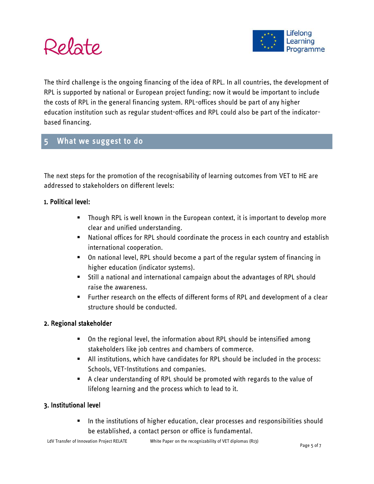



The third challenge is the ongoing financing of the idea of RPL. In all countries, the development of RPL is supported by national or European project funding; now it would be important to include the costs of RPL in the general financing system. RPL-offices should be part of any higher education institution such as regular student-offices and RPL could also be part of the indicatorbased financing.

## 5 What we suggest to do

The next steps for the promotion of the recognisability of learning outcomes from VET to HE are addressed to stakeholders on different levels:

### 1. Political level:

- Though RPL is well known in the European context, it is important to develop more clear and unified understanding.
- National offices for RPL should coordinate the process in each country and establish international cooperation.
- On national level, RPL should become a part of the regular system of financing in higher education (indicator systems).
- Still a national and international campaign about the advantages of RPL should raise the awareness.
- Further research on the effects of different forms of RPL and development of a clear structure should be conducted.

#### 2. Regional stakeholder

- On the regional level, the information about RPL should be intensified among stakeholders like job centres and chambers of commerce.
- All institutions, which have candidates for RPL should be included in the process: Schools, VET-Institutions and companies.
- A clear understanding of RPL should be promoted with regards to the value of lifelong learning and the process which to lead to it.

#### 3. Institutional level

**IF** In the institutions of higher education, clear processes and responsibilities should be established, a contact person or office is fundamental.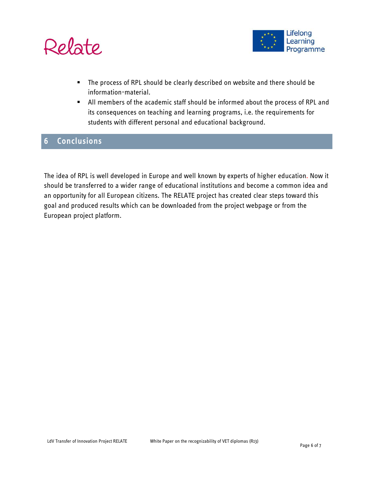



- **The process of RPL should be clearly described on website and there should be** information-material.
- All members of the academic staff should be informed about the process of RPL and its consequences on teaching and learning programs, i.e. the requirements for students with different personal and educational background.

# 6 Conclusions

The idea of RPL is well developed in Europe and well known by experts of higher education. Now it should be transferred to a wider range of educational institutions and become a common idea and an opportunity for all European citizens. The RELATE project has created clear steps toward this goal and produced results which can be downloaded from the project webpage or from the European project platform.